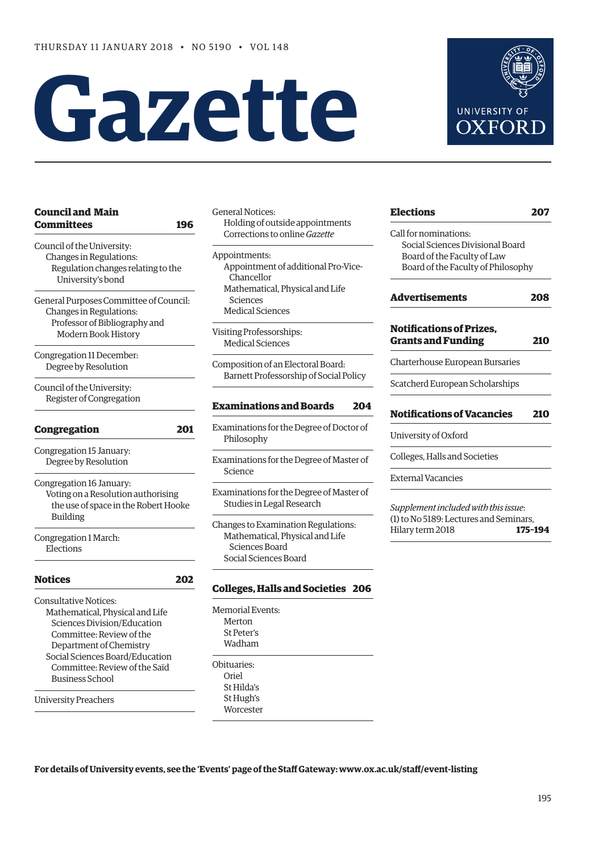# **Gazette**



| <b>Council and Main</b><br>Committees  | 196 |
|----------------------------------------|-----|
| Council of the University:             |     |
| Changes in Regulations:                |     |
| Regulation changes relating to the     |     |
| University's bond                      |     |
| General Purposes Committee of Council: |     |
| Changes in Regulations:                |     |
| Professor of Bibliography and          |     |
| Modern Book History                    |     |
| Congregation 11 December:              |     |
| Degree by Resolution                   |     |
| Council of the University:             |     |
| Register of Congregation               |     |
| <b>Congregation</b>                    | 201 |
| Congregation 15 January:               |     |
| Degree by Resolution                   |     |
| Congregation 16 January:               |     |
| Voting on a Resolution authorising     |     |
| the use of space in the Robert Hooke   |     |
| <b>Building</b>                        |     |
| Congregation 1 March:                  |     |
| Elections                              |     |
| <b>Notices</b>                         | 202 |
| <b>Consultative Notices:</b>           |     |
| Mathematical, Physical and Life        |     |
| Sciences Division/Education            |     |
| Committee: Review of the               |     |
| Department of Chemistry                |     |
| Social Sciences Board/Education        |     |
| Committee: Review of the Saïd          |     |
| <b>Business School</b>                 |     |
| <b>University Preachers</b>            |     |

| General Notices:<br>Holding of outside appointments<br>Corrections to online <i>Gazette</i> |
|---------------------------------------------------------------------------------------------|
| Appointments:                                                                               |
| Appointment of additional Pro-Vice-                                                         |
| Chancellor                                                                                  |
| Mathematical, Physical and Life                                                             |
| Sciences                                                                                    |
| <b>Medical Sciences</b>                                                                     |

Visiting Professorships: Medical Sciences

Composition of an Electoral Board: Barnett Professorship of Social Policy

# **[Examinations and Boards 204](#page-9-0)**

Examinations for the Degree of Doctor of Philosophy

Examinations for the Degree of Master of Science

Examinations for the Degree of Master of Studies in Legal Research

Changes to Examination Regulations: Mathematical, Physical and Life Sciences Board Social Sciences Board

# **[Colleges, Halls and Societies 206](#page-11-0)**

Memorial Events: Merton St Peter's Wadham Obituaries: Oriel St Hilda's St Hugh's **Worcester** 

| <b>Elections</b>                                             | 207     |
|--------------------------------------------------------------|---------|
| Call for nominations:                                        |         |
| Social Sciences Divisional Board                             |         |
| Board of the Faculty of Law                                  |         |
| Board of the Faculty of Philosophy                           |         |
| <b>Advertisements</b>                                        | 208     |
| <b>Notifications of Prizes,</b><br><b>Grants and Funding</b> | 210     |
| Charterhouse European Bursaries                              |         |
| Scatcherd European Scholarships                              |         |
| <b>Notifications of Vacancies</b>                            | 210     |
| University of Oxford                                         |         |
| Colleges, Halls and Societies                                |         |
| <b>External Vacancies</b>                                    |         |
| Supplement included with this issue:                         |         |
| (1) to No 5189: Lectures and Seminars,                       |         |
| Hilary term 2018                                             | 175-194 |

**For details of University events, see the 'Events' page of the Staff Gateway: [www.ox.ac.uk/staff/event-listing](http://www.ox.ac.uk/staff/event-listing)**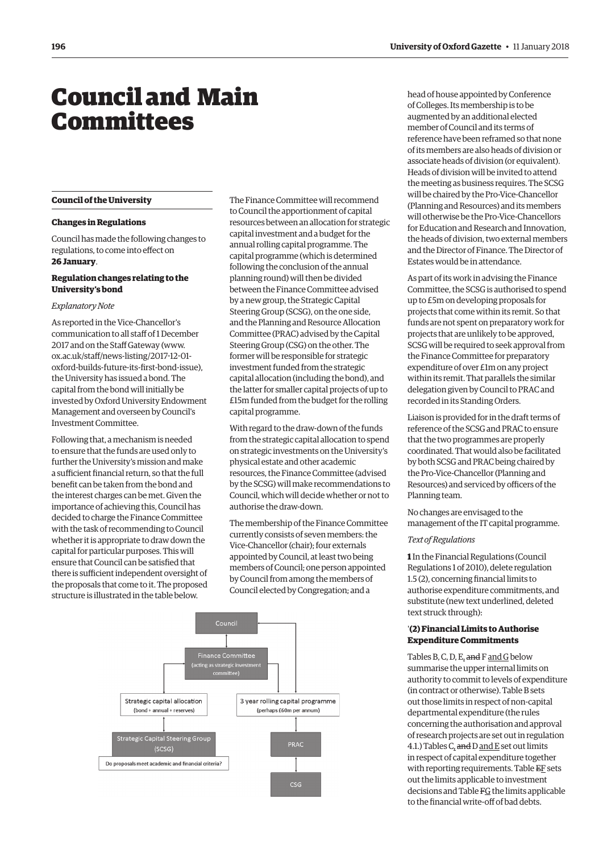# <span id="page-1-0"></span>Council and Main **Committees**

#### **Council of the University**

#### **Changes in Regulations**

Council has made the following changes to regulations, to come into effect on **26 January**.

## **Regulation changes relating to the University's bond**

#### *Explanatory Note*

As reported in the Vice-Chancellor's communication to all staff of 1 December 2017 and on the Staff Gateway ([www.](http://www.ox.ac.uk/staff/news-listing/2017-12-01-oxford-builds-future-its-first-bond-issue) [ox.ac.uk/staff/news-listing/2017-12-01](http://www.ox.ac.uk/staff/news-listing/2017-12-01-oxford-builds-future-its-first-bond-issue) [oxford-builds-future-its-first-bond-issue\),](http://www.ox.ac.uk/staff/news-listing/2017-12-01-oxford-builds-future-its-first-bond-issue)  the University has issued a bond. The capital from the bond will initially be invested by Oxford University Endowment Management and overseen by Council's Investment Committee.

Following that, a mechanism is needed to ensure that the funds are used only to further the University's mission and make a sufficient financial return, so that the full benefit can be taken from the bond and **Council of the University**  the interest charges can be met. Given the importance of achieving this, Council has authorise the draw-do decided to charge the Finance Committee with the task of recommending to Council whether it is appropriate to draw down the  $V_{\text{rel}}^{\text{c}}$  computed in the Station to all states of  $\epsilon$ capital for particular purposes. This will vice-Chancenor (Chan); four ex ensure that Council can be satisfied that there is sufficient independent oversight of  $\frac{1}{100}$  returns of council, one person the proposals that come to it. The proposed  $\overline{C}$  recommending the task of recommending the the structure is illustrated in the table below. Counter exercic by congregant

The Finance Committee will recommend to Council the apportionment of capital resources between an allocation for strategic capital investment and a budget for the annual rolling capital programme. The capital programme (which is determined following the conclusion of the annual planning round) will then be divided between the Finance Committee advised by a new group, the Strategic Capital Steering Group (SCSG), on the one side, and the Planning and Resource Allocation Committee (PRAC) advised by the Capital Steering Group (CSG) on the other. The former will be responsible for strategic investment funded from the strategic capital allocation (including the bond), and the latter for smaller capital projects of up to £15m funded from the budget for the rolling capital programme.

With regard to the draw-down of the funds from the strategic capital allocation to spend on strategic investments on the University's physical estate and other academic resources, the Finance Committee (advised by the SCSG) will make recommendations to Council, which will decide whether or not to authorise the draw-down.

The membership of the Finance Committee currently consists of seven members: the Vice-Chancellor (chair); four externals Including purposes. This will appointed by Council, at least two being but the call be satisfied that members of Council; one person appointed the interest charges can be meth. Given the interest charges can be metallic to charge the members of the capital for proposed. The proposed. This will elected by Congregation; and a



head of house appointed by Conference of Colleges. Its membership is to be augmented by an additional elected member of Council and its terms of reference have been reframed so that none of its members are also heads of division or associate heads of division (or equivalent). Heads of division will be invited to attend the meeting as business requires. The SCSG will be chaired by the Pro-Vice-Chancellor (Planning and Resources) and its members will otherwise be the Pro-Vice-Chancellors for Education and Research and Innovation, the heads of division, two external members and the Director of Finance. The Director of Estates would be in attendance.

As part of its work in advising the Finance Committee, the SCSG is authorised to spend up to £5m on developing proposals for projects that come within its remit. So that funds are not spent on preparatory work for projects that are unlikely to be approved, SCSG will be required to seek approval from the Finance Committee for preparatory expenditure of over £1m on any project within its remit. That parallels the similar delegation given by Council to PRAC and recorded in its Standing Orders.

Liaison is provided for in the draft terms of reference of the SCSG and PRAC to ensure that the two programmes are properly coordinated. That would also be facilitated by both SCSG and PRAC being chaired by the Pro-Vice-Chancellor (Planning and Resources) and serviced by officers of the Planning team.

No changes are envisaged to the management of the IT capital programme.

## *Text of Regulations*

**1** In the Financial Regulations (Council Regulations 1 of 2010), delete regulation 1.5 (2), concerning financial limits to authorise expenditure commitments, and substitute (new text underlined, deleted text struck through):

# '**(2) Financial Limits to Authorise Expenditure Commitments**

Tables B, C, D, E, and F and G below summarise the upper internal limits on authority to commit to levels of expenditure (in contract or otherwise). Table B sets out those limits in respect of non-capital departmental expenditure (the rules concerning the authorisation and approval of research projects are set out in regulation 4.1.) Tables  $C_{\iota}$  and  $D$  and  $E$  set out limits in respect of capital expenditure together with reporting requirements. Table EF sets out the limits applicable to investment decisions and Table FG the limits applicable to the financial write-off of bad debts.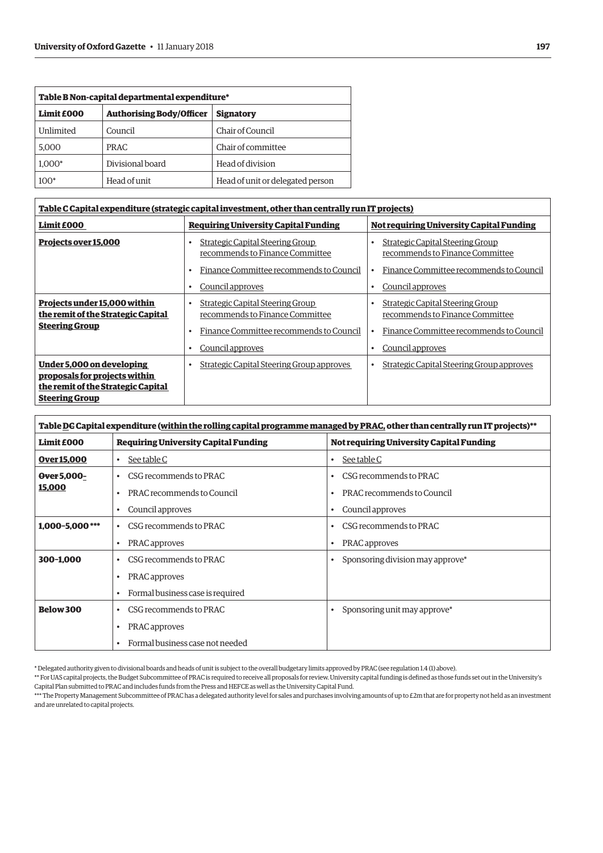| Table B Non-capital departmental expenditure* |                                 |                                  |
|-----------------------------------------------|---------------------------------|----------------------------------|
| Limit £000                                    | <b>Authorising Body/Officer</b> | <b>Signatory</b>                 |
| Unlimited                                     | Council                         | Chair of Council                 |
| 5,000                                         | <b>PRAC</b>                     | Chair of committee               |
| $1.000*$                                      | Divisional board                | Head of division                 |
| $100*$                                        | Head of unit                    | Head of unit or delegated person |

| <u>Table C Capital expenditure (strategic capital investment, other than centrally run IT projects)</u>                   |                                                                            |                                                                            |  |
|---------------------------------------------------------------------------------------------------------------------------|----------------------------------------------------------------------------|----------------------------------------------------------------------------|--|
| Limit £000                                                                                                                | <b>Requiring University Capital Funding</b>                                | <b>Not requiring University Capital Funding</b>                            |  |
| Projects over 15,000                                                                                                      | <b>Strategic Capital Steering Group</b><br>recommends to Finance Committee | <b>Strategic Capital Steering Group</b><br>recommends to Finance Committee |  |
|                                                                                                                           | Finance Committee recommends to Council                                    | Finance Committee recommends to Council                                    |  |
|                                                                                                                           | Council approves                                                           | Council approves                                                           |  |
| Projects under 15,000 within<br>the remit of the Strategic Capital                                                        | Strategic Capital Steering Group<br>recommends to Finance Committee        | <b>Strategic Capital Steering Group</b><br>recommends to Finance Committee |  |
| <b>Steering Group</b>                                                                                                     | Finance Committee recommends to Council<br>٠                               | Finance Committee recommends to Council                                    |  |
|                                                                                                                           | Council approves<br>٠                                                      | Council approves                                                           |  |
| Under 5,000 on developing<br>proposals for projects within<br>the remit of the Strategic Capital<br><b>Steering Group</b> | <b>Strategic Capital Steering Group approves</b>                           | <b>Strategic Capital Steering Group approves</b>                           |  |

| Table DG Capital expenditure (within the rolling capital programme managed by PRAC, other than centrally run IT projects)** |                                             |                                                 |
|-----------------------------------------------------------------------------------------------------------------------------|---------------------------------------------|-------------------------------------------------|
| Limit £000                                                                                                                  | <b>Requiring University Capital Funding</b> | <b>Not requiring University Capital Funding</b> |
| <b>Over 15,000</b>                                                                                                          | See table C                                 | See table C<br>$\bullet$                        |
| Over 5,000-                                                                                                                 | CSG recommends to PRAC<br>٠                 | CSG recommends to PRAC<br>$\bullet$             |
| 15,000                                                                                                                      | PRAC recommends to Council                  | PRAC recommends to Council                      |
|                                                                                                                             | Council approves<br>٠                       | Council approves<br>$\bullet$                   |
| $1.000 - 5.000$ ***                                                                                                         | CSG recommends to PRAC<br>٠                 | CSG recommends to PRAC<br>٠                     |
|                                                                                                                             | PRAC approves                               | PRAC approves<br>$\bullet$                      |
| 300-1.000                                                                                                                   | CSG recommends to PRAC<br>٠                 | Sponsoring division may approve*                |
|                                                                                                                             | PRAC approves                               |                                                 |
|                                                                                                                             | Formal business case is required<br>٠       |                                                 |
| <b>Below 300</b>                                                                                                            | CSG recommends to PRAC                      | Sponsoring unit may approve*<br>$\bullet$       |
|                                                                                                                             | PRAC approves                               |                                                 |
|                                                                                                                             | Formal business case not needed<br>٠        |                                                 |

\* Delegated authority given to divisional boards and heads of unit is subject to the overall budgetary limits approved by PRAC (see regulation 1.4 (1) above).

\*\* For UAS capital projects, the Budget Subcommittee of PRAC is required to receive all proposals for review. University capital funding is defined as those funds set out in the University's Capital Plan submitted to PRAC and includes funds from the Press and HEFCE as well as the University Capital Fund.

\*\*\* The Property Management Subcommittee of PRAC has a delegated authority level for sales and purchases involving amounts of up to £2m that are for property not held as an investment and are unrelated to capital projects.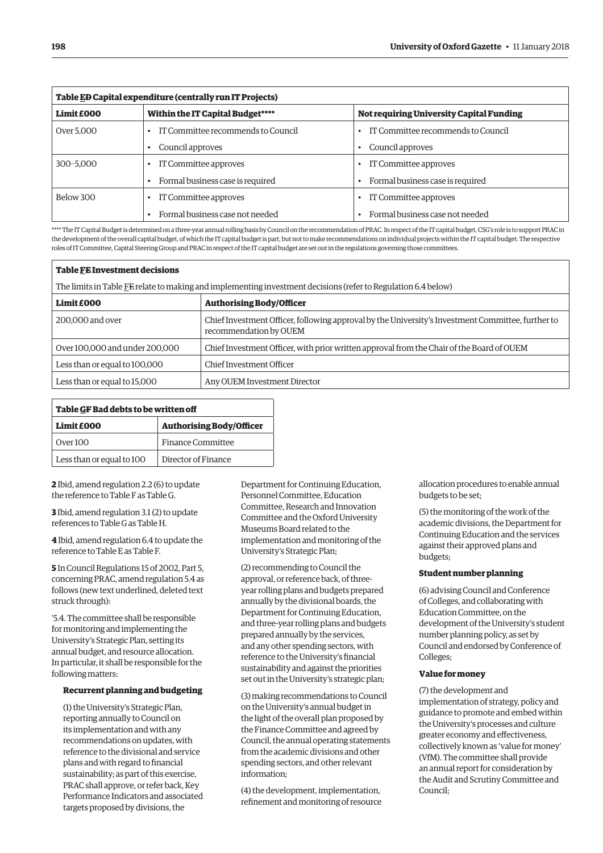| Table ED Capital expenditure (centrally run IT Projects) |                                    |                                          |  |
|----------------------------------------------------------|------------------------------------|------------------------------------------|--|
| Limit £000                                               | Within the IT Capital Budget****   | Not requiring University Capital Funding |  |
| Over 5,000                                               | IT Committee recommends to Council | IT Committee recommends to Council       |  |
|                                                          | Council approves                   | Council approves                         |  |
| 300-5,000                                                | IT Committee approves              | IT Committee approves                    |  |
|                                                          | Formal business case is required   | Formal business case is required         |  |
| Below 300                                                | IT Committee approves              | IT Committee approves                    |  |
|                                                          | Formal business case not needed    | Formal business case not needed          |  |

\*\*\*\* The IT Capital Budget is determined on a three-year annual rolling basis by Council on the recommendation of PRAC. In respect of the IT capital budget, CSG's role is to support PRAC in the development of the overall capital budget, of which the IT capital budget is part, but not to make recommendations on individual projects within the IT capital budget. The respective roles of IT Committee, Capital Steering Group and PRAC in respect of the IT capital budget are set out in the regulations governing those committees.

| <b>Table FE Investment decisions</b>                                                                          |                                                                                                                             |  |
|---------------------------------------------------------------------------------------------------------------|-----------------------------------------------------------------------------------------------------------------------------|--|
| The limits in Table FE relate to making and implementing investment decisions (refer to Regulation 6.4 below) |                                                                                                                             |  |
| Limit £000                                                                                                    | <b>Authorising Body/Officer</b>                                                                                             |  |
| 200,000 and over                                                                                              | Chief Investment Officer, following approval by the University's Investment Committee, further to<br>recommendation by OUEM |  |
| Over 100,000 and under 200,000                                                                                | Chief Investment Officer, with prior written approval from the Chair of the Board of OUEM                                   |  |
| Less than or equal to 100,000                                                                                 | Chief Investment Officer                                                                                                    |  |
| Less than or equal to 15,000                                                                                  | Any OUEM Investment Director                                                                                                |  |

| Table GF Bad debts to be written off |                                 |  |
|--------------------------------------|---------------------------------|--|
| Limit £000                           | <b>Authorising Body/Officer</b> |  |
| Over 100                             | <b>Finance Committee</b>        |  |
| Less than or equal to 100            | Director of Finance             |  |

**2** Ibid, amend regulation 2.2 (6) to update the reference to Table F as Table G.

**3** Ibid, amend regulation 3.1 (2) to update references to Table G as Table H.

**4** Ibid, amend regulation 6.4 to update the reference to Table E as Table F.

**5** In Council Regulations 15 of 2002, Part 5, concerning PRAC, amend regulation 5.4 as follows (new text underlined, deleted text struck through):

'5.4. The committee shall be responsible for monitoring and implementing the University's Strategic Plan, setting its annual budget, and resource allocation. In particular, it shall be responsible for the following matters:

# **Recurrent planning and budgeting**

(1) the University's Strategic Plan, reporting annually to Council on its implementation and with any recommendations on updates, with reference to the divisional and service plans and with regard to financial sustainability; as part of this exercise, PRAC shall approve, or refer back, Key Performance Indicators and associated targets proposed by divisions, the

Department for Continuing Education, Personnel Committee, Education Committee, Research and Innovation Committee and the Oxford University Museums Board related to the implementation and monitoring of the University's Strategic Plan;

(2) recommending to Council the approval, or reference back, of threeyear rolling plans and budgets prepared annually by the divisional boards, the Department for Continuing Education, and three-year rolling plans and budgets prepared annually by the services, and any other spending sectors, with reference to the University's financial sustainability and against the priorities set out in the University's strategic plan;

(3) making recommendations to Council on the University's annual budget in the light of the overall plan proposed by the Finance Committee and agreed by Council, the annual operating statements from the academic divisions and other spending sectors, and other relevant information;

(4) the development, implementation, refinement and monitoring of resource allocation procedures to enable annual budgets to be set;

(5) the monitoring of the work of the academic divisions, the Department for Continuing Education and the services against their approved plans and budgets;

#### **Student number planning**

(6) advising Council and Conference of Colleges, and collaborating with Education Committee, on the development of the University's student number planning policy, as set by Council and endorsed by Conference of Colleges;

# **Value for money**

(7) the development and implementation of strategy, policy and guidance to promote and embed within the University's processes and culture greater economy and effectiveness, collectively known as 'value for money' (VfM). The committee shall provide an annual report for consideration by the Audit and Scrutiny Committee and Council;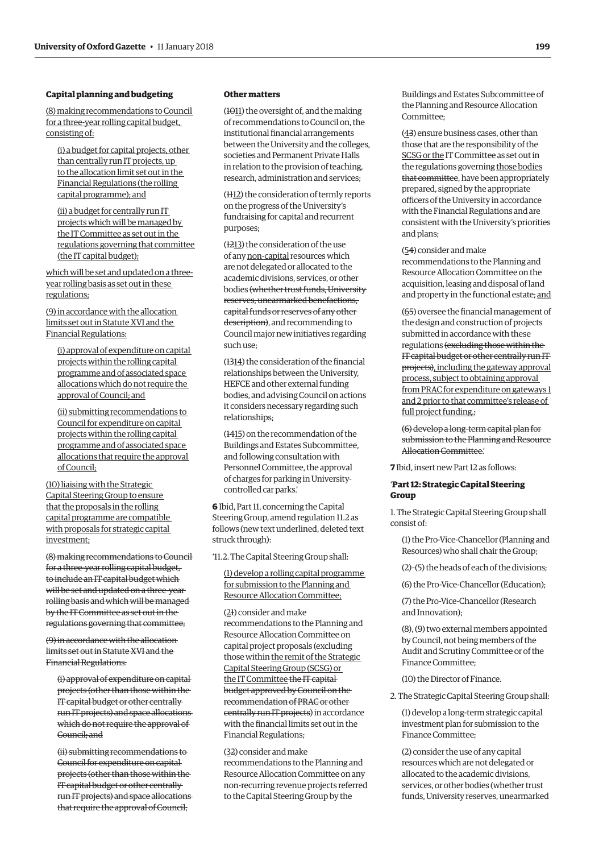# **Capital planning and budgeting**

(8) making recommendations to Council for a three-year rolling capital budget, consisting of:

(i) a budget for capital projects, other than centrally run IT projects, up to the allocation limit set out in the Financial Regulations (the rolling capital programme); and

(ii) a budget for centrally run IT projects which will be managed by the IT Committee as set out in the regulations governing that committee (the IT capital budget);

which will be set and updated on a threeyear rolling basis as set out in these regulations;

(9) in accordance with the allocation limits set out in Statute XVI and the Financial Regulations:

(i) approval of expenditure on capital projects within the rolling capital programme and of associated space allocations which do not require the approval of Council; and

(ii) submitting recommendations to Council for expenditure on capital projects within the rolling capital programme and of associated space allocations that require the approval of Council;

(10) liaising with the Strategic Capital Steering Group to ensure that the proposals in the rolling capital programme are compatible with proposals for strategic capital investment;

(8) making recommendations to Council for a three-year rolling capital budget, to include an IT capital budget which will be set and updated on a three-year rolling basis and which will be managed by the IT Committee as set out in the regulations governing that committee;

(9) in accordance with the allocation limits set out in Statute XVI and the Financial Regulations:

(i) approval of expenditure on capital projects (other than those within the IT capital budget or other centrally run IT projects) and space allocations which do not require the approval of Council; and

(ii) submitting recommendations to Council for expenditure on capital projects (other than those within the IT capital budget or other centrally run IT projects) and space allocations that require the approval of Council;

#### **Other matters**

(1011) the oversight of, and the making of recommendations to Council on, the institutional financial arrangements between the University and the colleges, societies and Permanent Private Halls in relation to the provision of teaching, research, administration and services;

(1112) the consideration of termly reports on the progress of the University's fundraising for capital and recurrent purposes;

(1213) the consideration of the use of any non-capital resources which are not delegated or allocated to the academic divisions, services, or other bodies (whether trust funds, University reserves, unearmarked benefactions, capital funds or reserves of any other description), and recommending to Council major new initiatives regarding such use;

(1314) the consideration of the financial relationships between the University, HEFCE and other external funding bodies, and advising Council on actions it considers necessary regarding such relationships;

(1415) on the recommendation of the Buildings and Estates Subcommittee, and following consultation with Personnel Committee, the approval of charges for parking in Universitycontrolled car parks.'

**6** Ibid, Part 11, concerning the Capital Steering Group, amend regulation 11.2 as follows (new text underlined, deleted text struck through):

'11.2. The Capital Steering Group shall:

(1) develop a rolling capital programme for submission to the Planning and Resource Allocation Committee;

(21) consider and make recommendations to the Planning and Resource Allocation Committee on capital project proposals (excluding those within the remit of the Strategic Capital Steering Group (SCSG) or the IT Committee the IT capital budget approved by Council on the recommendation of PRAC or other centrally run IT projects) in accordance with the financial limits set out in the Financial Regulations;

(32) consider and make recommendations to the Planning and Resource Allocation Committee on any non-recurring revenue projects referred to the Capital Steering Group by the

Buildings and Estates Subcommittee of the Planning and Resource Allocation Committee;

(43) ensure business cases, other than those that are the responsibility of the SCSG or the IT Committee as set out in the regulations governing those bodies that committee, have been appropriately prepared, signed by the appropriate officers of the University in accordance with the Financial Regulations and are consistent with the University's priorities and plans;

#### (54) consider and make

recommendations to the Planning and Resource Allocation Committee on the acquisition, leasing and disposal of land and property in the functional estate; and

(65) oversee the financial management of the design and construction of projects submitted in accordance with these regulations (excluding those within the IT capital budget or other centrally run IT projects), including the gateway approval process, subject to obtaining approval from PRAC for expenditure on gateways 1 and 2 prior to that committee's release of full project funding.;

(6) develop a long-term capital plan for submission to the Planning and Resource Allocation Committee.'

**7** Ibid, insert new Part 12 as follows:

#### '**Part 12: Strategic Capital Steering Group**

1. The Strategic Capital Steering Group shall consist of:

(1) the Pro-Vice-Chancellor (Planning and Resources) who shall chair the Group;

(2)–(5) the heads of each of the divisions;

(6) the Pro-Vice-Chancellor (Education);

(7) the Pro-Vice-Chancellor (Research and Innovation);

(8), (9) two external members appointed by Council, not being members of the Audit and Scrutiny Committee or of the Finance Committee;

(10) the Director of Finance.

2. The Strategic Capital Steering Group shall:

(1) develop a long-term strategic capital investment plan for submission to the Finance Committee;

(2) consider the use of any capital resources which are not delegated or allocated to the academic divisions, services, or other bodies (whether trust funds, University reserves, unearmarked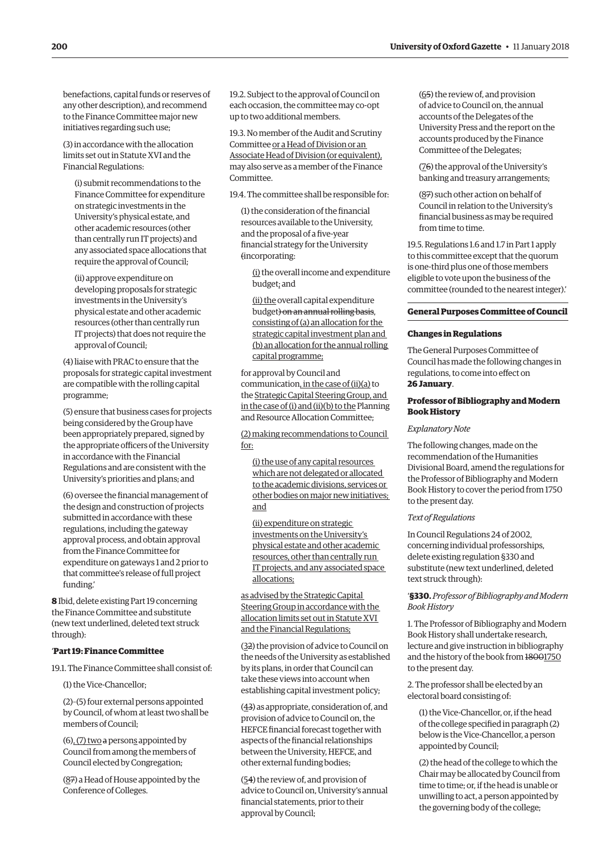benefactions, capital funds or reserves of any other description), and recommend to the Finance Committee major new initiatives regarding such use;

(3) in accordance with the allocation limits set out in Statute XVI and the Financial Regulations:

(i) submit recommendations to the Finance Committee for expenditure on strategic investments in the University's physical estate, and other academic resources (other than centrally run IT projects) and any associated space allocations that require the approval of Council;

(ii) approve expenditure on developing proposals for strategic investments in the University's physical estate and other academic resources (other than centrally run IT projects) that does not require the approval of Council;

(4) liaise with PRAC to ensure that the proposals for strategic capital investment are compatible with the rolling capital programme;

(5) ensure that business cases for projects being considered by the Group have been appropriately prepared, signed by the appropriate officers of the University in accordance with the Financial Regulations and are consistent with the University's priorities and plans; and

(6) oversee the financial management of the design and construction of projects submitted in accordance with these regulations, including the gateway approval process, and obtain approval from the Finance Committee for expenditure on gateways 1 and 2 prior to that committee's release of full project funding.'

**8** Ibid, delete existing Part 19 concerning the Finance Committee and substitute (new text underlined, deleted text struck through):

## '**Part 19: Finance Committee**

19.1. The Finance Committee shall consist of:

(1) the Vice-Chancellor;

(2)–(5) four external persons appointed by Council, of whom at least two shall be members of Council;

 $(6)$ ,  $(7)$  two a persons appointed by Council from among the members of Council elected by Congregation;

(87) a Head of House appointed by the Conference of Colleges.

19.2. Subject to the approval of Council on each occasion, the committee may co-opt up to two additional members.

19.3. No member of the Audit and Scrutiny Committee or a Head of Division or an Associate Head of Division (or equivalent), may also serve as a member of the Finance **Committee** 

19.4. The committee shall be responsible for:

(1) the consideration of the financial resources available to the University, and the proposal of a five-year financial strategy for the University (incorporating:

(i) the overall income and expenditure budget; and

(ii) the overall capital expenditure budget) on an annual rolling basis, consisting of (a) an allocation for the strategic capital investment plan and (b) an allocation for the annual rolling capital programme;

for approval by Council and communication, in the case of (ii)(a) to the Strategic Capital Steering Group, and in the case of (i) and (ii)(b) to the Planning and Resource Allocation Committee;

(2) making recommendations to Council for:

(i) the use of any capital resources which are not delegated or allocated to the academic divisions, services or other bodies on major new initiatives; and

(ii) expenditure on strategic investments on the University's physical estate and other academic resources, other than centrally run IT projects, and any associated space allocations;

as advised by the Strategic Capital Steering Group in accordance with the allocation limits set out in Statute XVI and the Financial Regulations;

(32) the provision of advice to Council on the needs of the University as established by its plans, in order that Council can take these views into account when establishing capital investment policy;

(43) as appropriate, consideration of, and provision of advice to Council on, the HEFCE financial forecast together with aspects of the financial relationships between the University, HEFCE, and other external funding bodies;

(54) the review of, and provision of advice to Council on, University's annual financial statements, prior to their approval by Council;

(65) the review of, and provision of advice to Council on, the annual accounts of the Delegates of the University Press and the report on the accounts produced by the Finance Committee of the Delegates;

(76) the approval of the University's banking and treasury arrangements;

(87) such other action on behalf of Council in relation to the University's financial business as may be required from time to time.

19.5. Regulations 1.6 and 1.7 in Part 1 apply to this committee except that the quorum is one-third plus one of those members eligible to vote upon the business of the committee (rounded to the nearest integer).'

#### **General Purposes Committee of Council**

#### **Changes in Regulations**

The General Purposes Committee of Council has made the following changes in regulations, to come into effect on **26 January**.

# **Professor of Bibliography and Modern Book History**

# *Explanatory Note*

The following changes, made on the recommendation of the Humanities Divisional Board, amend the regulations for the Professor of Bibliography and Modern Book History to cover the period from 1750 to the present day.

#### *Text of Regulations*

In Council Regulations 24 of 2002, concerning individual professorships, delete existing regulation §330 and substitute (new text underlined, deleted text struck through):

'**§330.** *Professor of Bibliography and Modern Book History*

1. The Professor of Bibliography and Modern Book History shall undertake research, lecture and give instruction in bibliography and the history of the book from 18001750 to the present day.

2. The professor shall be elected by an electoral board consisting of:

(1) the Vice-Chancellor, or, if the head of the college specified in paragraph (2) below is the Vice-Chancellor, a person appointed by Council;

(2) the head of the college to which the Chair may be allocated by Council from time to time; or, if the head is unable or unwilling to act, a person appointed by the governing body of the college;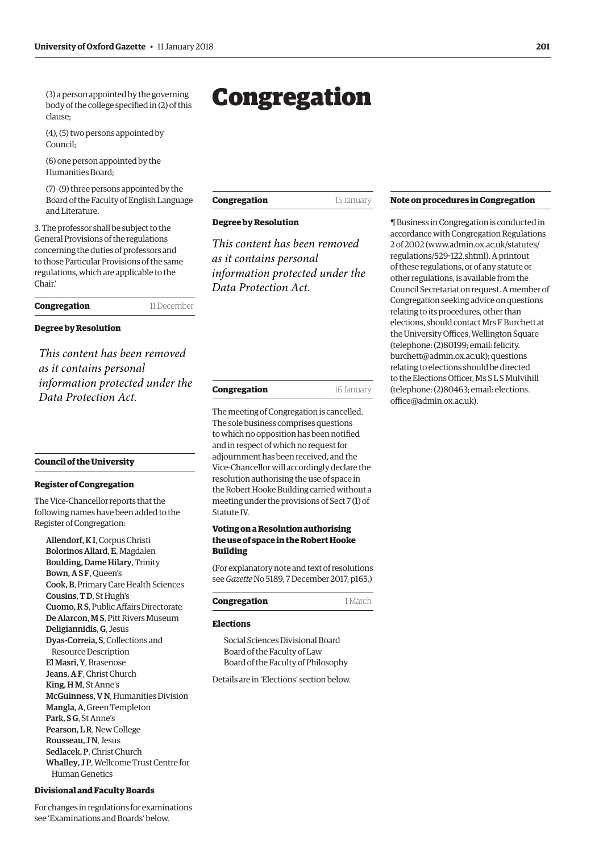<span id="page-6-0"></span>(3) a person appointed by the governing body of the college specified in (2) of this clause;

(4), (5) two persons appointed by Council;

(6) one person appointed by the Humanities Board;

(7)–(9) three persons appointed by the Board of the Faculty of English Language and Literature.

3. The professor shall be subject to the General Provisions of the regulations concerning the duties of professors and to those Particular Provisions of the same regulations, which are applicable to the Chair.'

**Congregation** 11 December

# **Degree by Resolution**

*This content has been removed as it contains personal information protected under the Data Protection Act.*

## **Council of the University**

#### **Register of Congregation**

The Vice-Chancellor reports that the following names have been added to the Register of Congregation:

Allendorf, K I, Corpus Christi Bolorinos Allard, E, Magdalen Boulding, Dame Hilary, Trinity Bown, A S F, Queen's Cook, B, Primary Care Health Sciences Cousins, T D, St Hugh's Cuomo, R S, Public Affairs Directorate De Alarcon, M S, Pitt Rivers Museum Deligiannidis, G, Jesus Dyas-Correia, S, Collections and Resource Description El Masri, Y, Brasenose Jeans, A F, Christ Church King, H M, St Anne's McGuinness, V N, Humanities Division Mangla, A, Green Templeton Park, SG, St Anne's Pearson, L R, New College Rousseau, IN, Jesus Sedlacek, P, Christ Church Whalley, J P, Wellcome Trust Centre for Human Genetics

# **Divisional and Faculty Boards**

For changes in regulations for examinations see 'Examinations and Boards' below.

# Congregation

| Congregation | 15 January |
|--------------|------------|
|--------------|------------|

# **Degree by Resolution**

*This content has been removed as it contains personal information protected under the Data Protection Act.*

| Congregation | 16 January |
|--------------|------------|
|--------------|------------|

The meeting of Congregation is cancelled. The sole business comprises questions to which no opposition has been notified and in respect of which no request for adjournment has been received, and the Vice-Chancellor will accordingly declare the resolution authorising the use of space in the Robert Hooke Building carried without a meeting under the provisions of Sect 7 (1) of Statute IV.

# **Voting on a Resolution authorising the use of space in the Robert Hooke Building**

(For explanatory note and text of resolutions see *Gazette* [No 5189, 7 December 2017, p165.\)](http://www.ox.ac.uk/gazette/2017-2018/7december2017-no5189/congregation/#263579)

| Congregation | 1 March |
|--------------|---------|
|              |         |

#### **Elections**

Social Sciences Divisional Board Board of the Faculty of Law Board of the Faculty of Philosophy

Details are in ['Elections'](#page-12-0) section below.

#### **Note on procedures in Congregation**

¶ Business in Congregation is conducted in accordance with Congregation Regulations 2 of 2002 [\(www.admin.ox.ac.uk/statutes/](http://www.admin.ox.ac.uk/statutes/regulations/529-122.shtml) [regulations/529-122.shtml\). A p](http://www.admin.ox.ac.uk/statutes/regulations/529-122.shtml)rintout of these regulations, or of any statute or other regulations, is available from the Council Secretariat on request. A member of Congregation seeking advice on questions relating to its procedures, other than elections, should contact Mrs F Burchett at the University Offices, Wellington Square (telephone: (2)80199; email: felicity. [burchett@admin.ox.ac.uk\); questions](mailto:felicity.burchett@admin.ox.ac.uk)  relating to elections should be directed to the Elections Officer, Ms S L S Mulvihill [\(telephone: \(2\)80463; email: elections.](mailto:elections.office@admin.ox.ac.uk) office@admin.ox.ac.uk).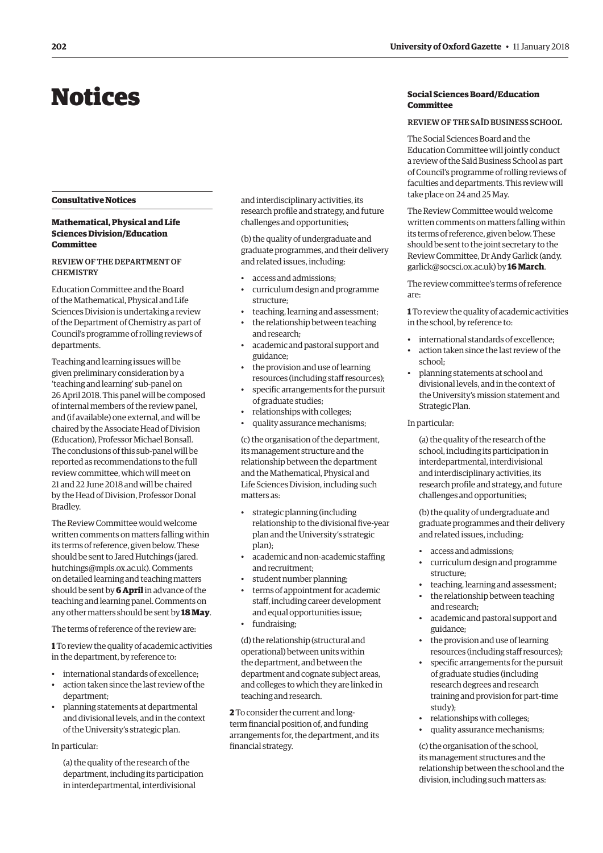# <span id="page-7-0"></span>Notices

## **Consultative Notices**

# **Mathematical, Physical and Life Sciences Division/Education Committee**

# REVIEW OF THE DEPARTMENT OF **CHEMISTRY**

Education Committee and the Board of the Mathematical, Physical and Life Sciences Division is undertaking a review of the Department of Chemistry as part of Council's programme of rolling reviews of departments.

Teaching and learning issues will be given preliminary consideration by a 'teaching and learning' sub-panel on 26 April 2018. This panel will be composed of internal members of the review panel, and (if available) one external, and will be chaired by the Associate Head of Division (Education), Professor Michael Bonsall. The conclusions of this sub-panel will be reported as recommendations to the full review committee, which will meet on 21 and 22 June 2018 and will be chaired by the Head of Division, Professor Donal Bradley.

The Review Committee would welcome written comments on matters falling within its terms of reference, given below. These [should be sent to Jared Hutchings \(jared.](mailto:jared.hutchings@mpls.ox.ac.uk) hutchings@mpls.ox.ac.uk). Comments on detailed learning and teaching matters should be sent by **6 April** in advance of the teaching and learning panel. Comments on any other matters should be sent by **18 May**.

The terms of reference of the review are:

**1** To review the quality of academic activities in the department, by reference to:

- international standards of excellence;
- action taken since the last review of the department;
- planning statements at departmental and divisional levels, and in the context of the University's strategic plan.

#### In particular:

(a) the quality of the research of the department, including its participation in interdepartmental, interdivisional

and interdisciplinary activities, its research profile and strategy, and future challenges and opportunities;

(b) the quality of undergraduate and graduate programmes, and their delivery and related issues, including:

- access and admissions;
- curriculum design and programme structure;
- teaching, learning and assessment; • the relationship between teaching and research;
- academic and pastoral support and guidance;
- the provision and use of learning resources (including staff resources);
- specific arrangements for the pursuit of graduate studies;
- relationships with colleges;
- quality assurance mechanisms;

(c) the organisation of the department, its management structure and the relationship between the department and the Mathematical, Physical and Life Sciences Division, including such matters as:

- strategic planning (including relationship to the divisional five-year plan and the University's strategic plan);
- academic and non-academic staffing and recruitment;
- student number planning;
- terms of appointment for academic staff, including career development and equal opportunities issue;
- fundraising;

(d) the relationship (structural and operational) between units within the department, and between the department and cognate subject areas, and colleges to which they are linked in teaching and research.

**2** To consider the current and longterm financial position of, and funding arrangements for, the department, and its financial strategy.

# **Social Sciences Board/Education Committee**

#### REVIEW OF THE SAÏD BUSINESS SCHOOL

The Social Sciences Board and the Education Committee will jointly conduct a review of the Saïd Business School as part of Council's programme of rolling reviews of faculties and departments. This review will take place on 24 and 25 May.

The Review Committee would welcome written comments on matters falling within its terms of reference, given below. These should be sent to the joint secretary to the [Review Committee, Dr Andy Garlick \(andy.](mailto:andy.garlick@socsci.ox.ac.uk) garlick@socsci.ox.ac.uk) by **16 March**.

The review committee's terms of reference are:

**1** To review the quality of academic activities in the school, by reference to:

- international standards of excellence;
- action taken since the last review of the school;
- planning statements at school and divisional levels, and in the context of the University's mission statement and Strategic Plan.

#### In particular:

(a) the quality of the research of the school, including its participation in interdepartmental, interdivisional and interdisciplinary activities, its research profile and strategy, and future challenges and opportunities;

(b) the quality of undergraduate and graduate programmes and their delivery and related issues, including:

- access and admissions;
- curriculum design and programme structure;
- teaching, learning and assessment;
- the relationship between teaching and research;
- academic and pastoral support and guidance;
- the provision and use of learning resources (including staff resources);
- specific arrangements for the pursuit of graduate studies (including research degrees and research training and provision for part-time study);
- relationships with colleges;
- quality assurance mechanisms;

(c) the organisation of the school, its management structures and the relationship between the school and the division, including such matters as: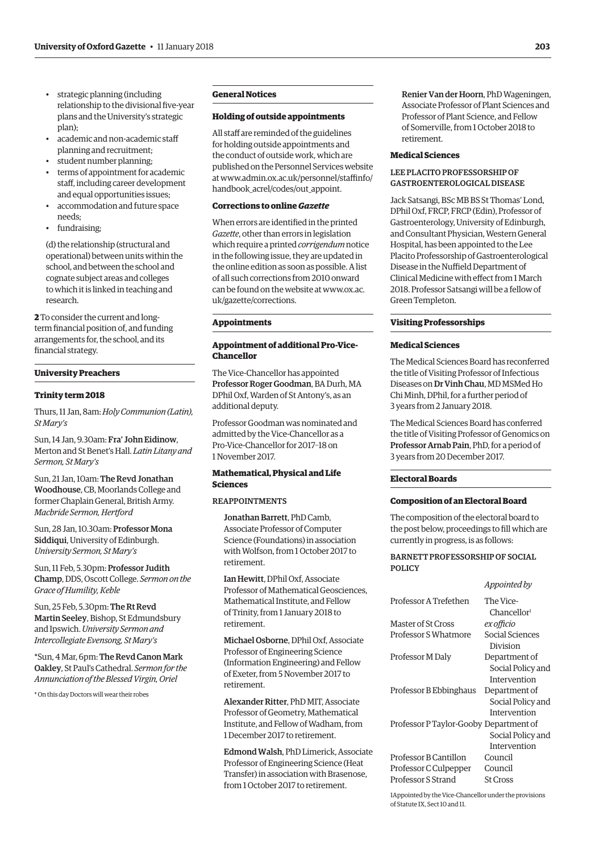- strategic planning (including relationship to the divisional five-year plans and the University's strategic plan);
- academic and non-academic staff planning and recruitment;
- student number planning;
- terms of appointment for academic staff, including career development and equal opportunities issues;
- accommodation and future space needs;
- fundraising;

(d) the relationship (structural and operational) between units within the school, and between the school and cognate subject areas and colleges to which it is linked in teaching and research.

**2** To consider the current and longterm financial position of, and funding arrangements for, the school, and its financial strategy.

# **University Preachers**

# **Trinity term 2018**

Thurs, 11 Jan, 8am: *Holy Communion (Latin), St Mary's*

Sun, 14 Jan, 9.30am: Fra' John Eidinow, Merton and St Benet's Hall. *Latin Litany and Sermon, St Mary's*

Sun, 21 Jan, 10am: The Revd Jonathan Woodhouse, CB, Moorlands College and former Chaplain General, British Army. *Macbride Sermon, Hertford* 

Sun, 28 Jan, 10.30am: Professor Mona Siddiqui, University of Edinburgh. *University Sermon, St Mary's*

Sun, 11 Feb, 5.30pm: Professor Judith Champ, DDS, Oscott College. *Sermon on the Grace of Humility, Keble*

Sun, 25 Feb, 5.30pm: The Rt Revd Martin Seeley, Bishop, St Edmundsbury and Ipswich. *University Sermon and Intercollegiate Evensong, St Mary's*

\*Sun, 4 Mar, 6pm: The Revd Canon Mark Oakley, St Paul's Cathedral. *Sermon for the Annunciation of the Blessed Virgin, Oriel*

\* On this day Doctors will wear their robes

# **General Notices**

# **Holding of outside appointments**

All staff are reminded of the guidelines for holding outside appointments and the conduct of outside work, which are published on the Personnel Services website [at www.admin.ox.ac.uk/personnel/staffinfo/](www.admin.ox.ac.uk/personnel/staffinfo/handbook_acrel/codes/out_appoint) handbook\_acrel/codes/out\_appoint.

# **Corrections to online** *Gazette*

When errors are identified in the printed *Gazette*, other than errors in legislation which require a printed *corrigendum* notice in the following issue, they are updated in the online edition as soon as possible. A list of all such corrections from 2010 onward [can be found on the website at www.ox.ac.](www.ox.ac.uk/gazette/corrections) uk/gazette/corrections.

#### **Appointments**

# **Appointment of additional Pro-Vice-Chancellor**

The Vice-Chancellor has appointed Professor Roger Goodman, BA Durh, MA DPhil Oxf, Warden of St Antony's, as an additional deputy.

Professor Goodman was nominated and admitted by the Vice-Chancellor as a Pro-Vice-Chancellor for 2017–18 on 1 November 2017.

# **Mathematical, Physical and Life Sciences**

## REAPPOINTMENTS

Jonathan Barrett, PhD Camb, Associate Professor of Computer Science (Foundations) in association with Wolfson, from 1 October 2017 to retirement.

Ian Hewitt, DPhil Oxf, Associate Professor of Mathematical Geosciences, Mathematical Institute, and Fellow of Trinity, from 1 January 2018 to retirement.

Michael Osborne, DPhil Oxf, Associate Professor of Engineering Science (Information Engineering) and Fellow of Exeter, from 5 November 2017 to retirement.

Alexander Ritter, PhD MIT, Associate Professor of Geometry, Mathematical Institute, and Fellow of Wadham, from 1 December 2017 to retirement.

Edmond Walsh, PhD Limerick, Associate Professor of Engineering Science (Heat Transfer) in association with Brasenose, from 1 October 2017 to retirement.

Renier Van der Hoorn, PhD Wageningen, Associate Professor of Plant Sciences and Professor of Plant Science, and Fellow of Somerville, from 1 October 2018 to retirement.

# **Medical Sciences**

## LEE PLACITO PROFESSORSHIP OF GASTROENTEROLOGICAL DISEASE

Jack Satsangi, BSc MB BS St Thomas' Lond, DPhil Oxf, FRCP, FRCP (Edin), Professor of Gastroenterology, University of Edinburgh, and Consultant Physician, Western General Hospital, has been appointed to the Lee Placito Professorship of Gastroenterological Disease in the Nuffield Department of Clinical Medicine with effect from 1 March 2018. Professor Satsangi will be a fellow of Green Templeton.

## **Visiting Professorships**

#### **Medical Sciences**

The Medical Sciences Board has reconferred the title of Visiting Professor of Infectious Diseases on Dr Vinh Chau, MD MSMed Ho Chi Minh, DPhil, for a further period of 3 years from 2 January 2018.

The Medical Sciences Board has conferred the title of Visiting Professor of Genomics on Professor Arnab Pain, PhD, for a period of 3 years from 20 December 2017.

#### **Electoral Boards**

# **Composition of an Electoral Board**

The composition of the electoral board to the post below, proceedings to fill which are currently in progress, is as follows:

## BARNETT PROFESSORSHIP OF SOCIAL POLICY

*Appointed by*

|                                        | Appointea by                         |
|----------------------------------------|--------------------------------------|
| Professor A Trefethen                  | The Vice-<br>Chancellor <sup>1</sup> |
| Master of St Cross                     | ex officio                           |
| Professor S Whatmore                   | Social Sciences<br>Division          |
| Professor M Daly                       | Department of                        |
|                                        | Social Policy and                    |
|                                        | Intervention                         |
| Professor B Ebbinghaus                 | Department of                        |
|                                        | Social Policy and                    |
|                                        | Intervention                         |
| Professor P Taylor-Gooby Department of |                                      |
|                                        | Social Policy and                    |
|                                        | Intervention                         |
| Professor B Cantillon                  | Council                              |
| Professor C Culpepper                  | Council                              |
| Professor S Strand                     | <b>St Cross</b>                      |
|                                        |                                      |

1Appointed by the Vice-Chancellor under the provisions of Statute IX, Sect 10 and 11.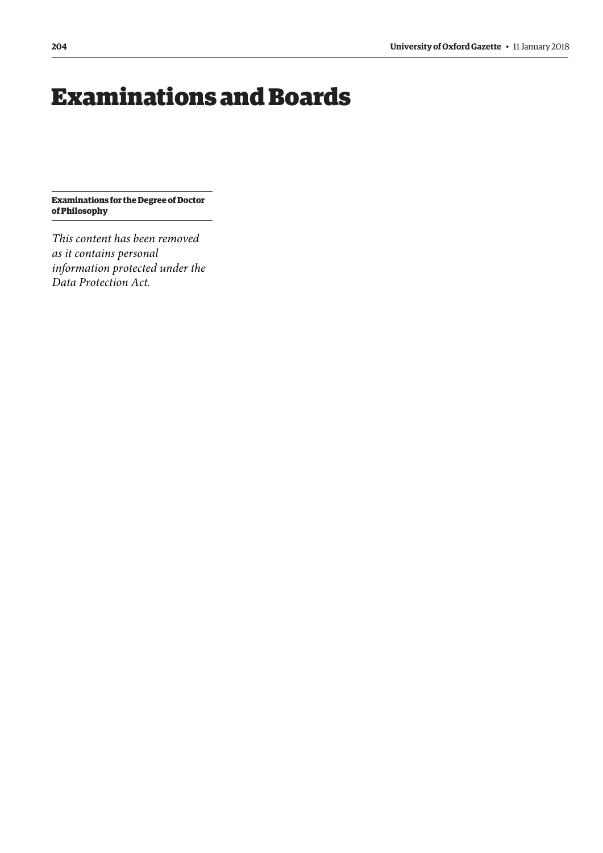# <span id="page-9-0"></span>Examinations and Boards

**Examinations for the Degree of Doctor of Philosophy**

*This content has been removed as it contains personal information protected under the Data Protection Act.*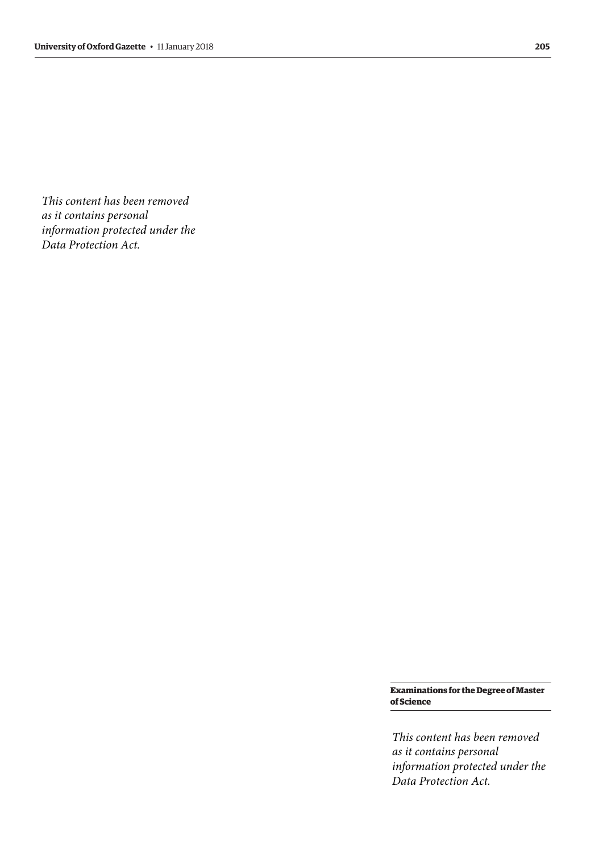*This content has been removed as it contains personal information protected under the Data Protection Act.*

> **Examinations for the Degree of Master of Science**

> *This content has been removed as it contains personal information protected under the Data Protection Act.*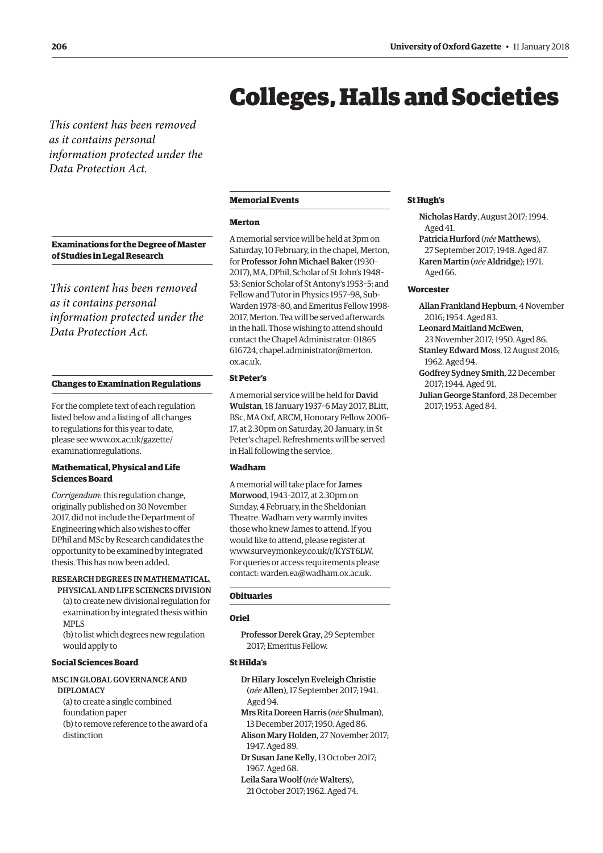# Colleges, Halls and Societies

<span id="page-11-0"></span>*This content has been removed as it contains personal information protected under the Data Protection Act.*

**Examinations for the Degree of Master of Studies in Legal Research**

*This content has been removed as it contains personal information protected under the Data Protection Act.*

# **Changes to Examination Regulations**

For the complete text of each regulation listed below and a listing of all changes to regulations for this year to date, please see [www.ox.ac.uk/gazette/](http://www.ox.ac.uk/gazette/) examinationregulations.

#### **Mathematical, Physical and Life Sciences Board**

*Corrigendum*: this regulation change, originally published on 30 November 2017, did not include the Department of Engineering which also wishes to offer DPhil and MSc by Research candidates the opportunity to be examined by integrated thesis. This has now been added.

RESEARCH DEGREES IN MATHEMATICAL, PHYSICAL AND LIFE SCIENCES DIVISION

(a) to create new divisional regulation for examination by integrated thesis within MPLS

(b) to list which degrees new regulation would apply to

# **Social Sciences Board**

#### MSC IN GLOBAL GOVERNANCE AND DIPLOMACY

(a) to create a single combined foundation paper (b) to remove reference to the award of a distinction

#### **Memorial Events**

#### **Merton**

A memorial service will be held at 3pm on Saturday, 10 February, in the chapel, Merton, for Professor John Michael Baker (1930– 2017), MA, DPhil, Scholar of St John's 1948– 53; Senior Scholar of St Antony's 1953–5; and Fellow and Tutor in Physics 1957–98, Sub-Warden 1978–80, and Emeritus Fellow 1998- 2017, Merton. Tea will be served afterwards in the hall. Those wishing to attend should contact the Chapel Administrator: 01865 [616724, chapel.administrator@merton.](mailto:chapel.administrator@merton.ox.ac.uk) ox.ac.uk.

# **St Peter's**

A memorial service will be held for David Wulstan, 18 January 1937–6 May 2017, BLitt, BSc, MA Oxf, ARCM, Honorary Fellow 2006– 17, at 2.30pm on Saturday, 20 January, in St Peter's chapel. Refreshments will be served in Hall following the service.

#### **Wadham**

A memorial will take place for James Morwood, 1943–2017, at 2.30pm on Sunday, 4 February, in the Sheldonian Theatre. Wadham very warmly invites those who knew James to attend. If you would like to attend, please register at [www.surveymonkey.co.uk/r/KYST6LW.](http://www.surveymonkey.co.uk/r/KYST6LW)  For queries or access requirements please contact: [warden.ea@wadham.ox.ac.uk.](mailto:warden.ea@wadham.ox.ac.uk)

## **Obituaries**

#### **Oriel**

Professor Derek Gray, 29 September 2017; Emeritus Fellow.

# **St Hilda's**

Dr Hilary Joscelyn Eveleigh Christie

(*née*Allen), 17 September 2017; 1941. Aged 94.

- Mrs Rita Doreen Harris (*née* Shulman), 13 December 2017; 1950. Aged 86.
- Alison Mary Holden, 27 November 2017; 1947. Aged 89.
- Dr Susan Jane Kelly, 13 October 2017; 1967. Aged 68.
- Leila Sara Woolf (*née*Walters),
- 21 October 2017; 1962. Aged 74.

#### **St Hugh's**

- Nicholas Hardy, August 2017; 1994. Aged 41.
- Patricia Hurford (*née* Matthews), 27 September 2017; 1948. Aged 87. Karen Martin (*née* Aldridge); 1971. Aged 66.

#### **Worcester**

- Allan Frankland Hepburn, 4 November 2016; 1954. Aged 83. Leonard Maitland McEwen, 23 November 2017; 1950. Aged 86.
- Stanley Edward Moss, 12 August 2016; 1962. Aged 94.
- Godfrey Sydney Smith, 22 December 2017; 1944. Aged 91.
- Julian George Stanford, 28 December 2017; 1953. Aged 84.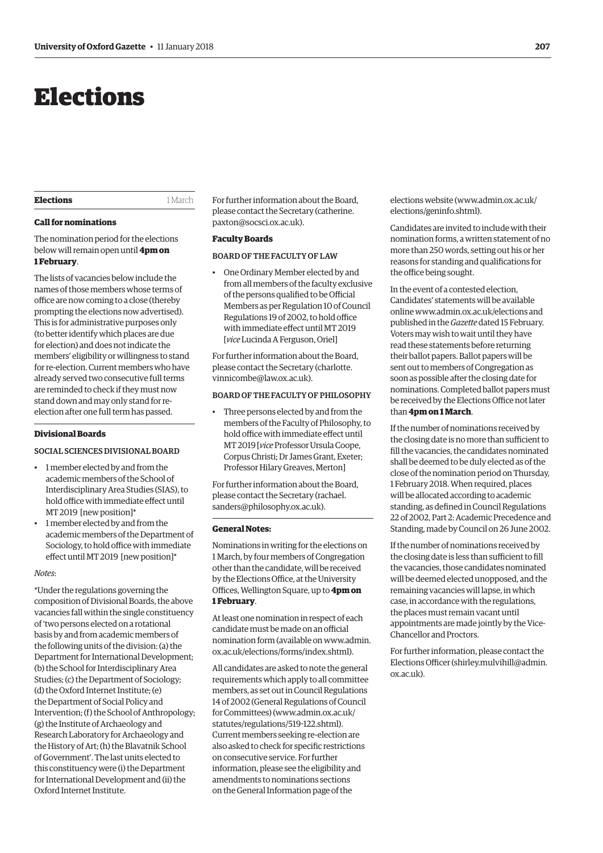# <span id="page-12-0"></span>Elections

#### **Elections** 1 March

# **Call for nominations**

The nomination period for the elections below will remain open until **4pm on 1 February**.

The lists of vacancies below include the names of those members whose terms of office are now coming to a close (thereby prompting the elections now advertised). This is for administrative purposes only (to better identify which places are due for election) and does not indicate the members' eligibility or willingness to stand for re-election. Current members who have already served two consecutive full terms are reminded to check if they must now stand down and may only stand for reelection after one full term has passed.

#### **Divisional Boards**

# SOCIAL SCIENCES DIVISIONAL BOARD

- 1 member elected by and from the academic members of the School of Interdisciplinary Area Studies (SIAS), to hold office with immediate effect until MT 2019 [new position]\*
- 1 member elected by and from the academic members of the Department of Sociology, to hold office with immediate effect until MT 2019 [new position]\*

#### *Notes*:

\*Under the regulations governing the composition of Divisional Boards, the above vacancies fall within the single constituency of 'two persons elected on a rotational basis by and from academic members of the following units of the division: (a) the Department for International Development; (b) the School for Interdisciplinary Area Studies; (c) the Department of Sociology; (d) the Oxford Internet Institute; (e) the Department of Social Policy and Intervention; (f) the School of Anthropology; (g) the Institute of Archaeology and Research Laboratory for Archaeology and the History of Art; (h) the Blavatnik School of Government'. The last units elected to this constituency were (i) the Department for International Development and (ii) the Oxford Internet Institute.

For further information about the Board, [please contact the Secretary \(catherine.](mailto:catherine.paxton@socsci.ox.ac.uk) paxton@socsci.ox.ac.uk).

# **Faculty Boards**

# BOARD OF THE FACULTY OF LAW

• One Ordinary Member elected by and from all members of the faculty exclusive of the persons qualified to be Official Members as per Regulation 10 of Council Regulations 19 of 2002, to hold office with immediate effect until MT 2019 [*vice* Lucinda A Ferguson, Oriel]

For further information about the Board, [please contact the Secretary \(charlotte.](mailto:charlotte.vinnicombe@law.ox.ac.uk) vinnicombe@law.ox.ac.uk).

## BOARD OF THE FACULTY OF PHILOSOPHY

• Three persons elected by and from the members of the Faculty of Philosophy, to hold office with immediate effect until MT 2019 [*vice* Professor Ursula Coope, Corpus Christi; Dr James Grant, Exeter; Professor Hilary Greaves, Merton]

For further information about the Board, [please contact the Secretary \(rachael.](mailto:rachael.sanders@philosophy.ox.ac.uk) sanders@philosophy.ox.ac.uk).

#### **General Notes:**

Nominations in writing for the elections on 1 March, by four members of Congregation other than the candidate, will be received by the Elections Office, at the University Offices, Wellington Square, up to **4pm on 1 February**.

At least one nomination in respect of each candidate must be made on an official [nomination form \(available on www.admin.](www.admin.ox.ac.uk/elections/forms/index.shtml) ox.ac.uk/elections/forms/index.shtml).

All candidates are asked to note the general requirements which apply to all committee members, as set out in Council Regulations 14 of 2002 (General Regulations of Council for Committees) [\(www.admin.ox.ac.uk/](http://www.admin.ox.ac.uk/statutes/regulations/519-122.shtml) [statutes/regulations/519-122.shtml\).](http://www.admin.ox.ac.uk/statutes/regulations/519-122.shtml)  Current members seeking re-election are also asked to check for specific restrictions on consecutive service. For further information, please see the eligibility and amendments to nominations sections on the General Information page of the

elections website ([www.admin.ox.ac.uk/](http://www.admin.ox.ac.uk/elections/geninfo.shtml) [elections/geninfo.shtml\).](http://www.admin.ox.ac.uk/elections/geninfo.shtml)

Candidates are invited to include with their nomination forms, a written statement of no more than 250 words, setting out his or her reasons for standing and qualifications for the office being sought.

In the event of a contested election, Candidates' statements will be available online [www.admin.ox.ac.uk/elections an](http://www.admin.ox.ac.uk/elections)d published in the *Gazette* dated 15 February. Voters may wish to wait until they have read these statements before returning their ballot papers. Ballot papers will be sent out to members of Congregation as soon as possible after the closing date for nominations. Completed ballot papers must be received by the Elections Office not later than **4pm on 1 March**.

If the number of nominations received by the closing date is no more than sufficient to fill the vacancies, the candidates nominated shall be deemed to be duly elected as of the close of the nomination period on Thursday, 1 February 2018. When required, places will be allocated according to academic standing, as defined in Council Regulations 22 of 2002, Part 2: Academic Precedence and Standing, made by Council on 26 June 2002.

If the number of nominations received by the closing date is less than sufficient to fill the vacancies, those candidates nominated will be deemed elected unopposed, and the remaining vacancies will lapse, in which case, in accordance with the regulations, the places must remain vacant until appointments are made jointly by the Vice-Chancellor and Proctors.

For further information, please contact the Elections Officer [\(shirley.mulvihill@admin.](mailto:shirley.mulvihill@admin.ox.ac.uk) [ox.ac.uk\).](mailto:shirley.mulvihill@admin.ox.ac.uk)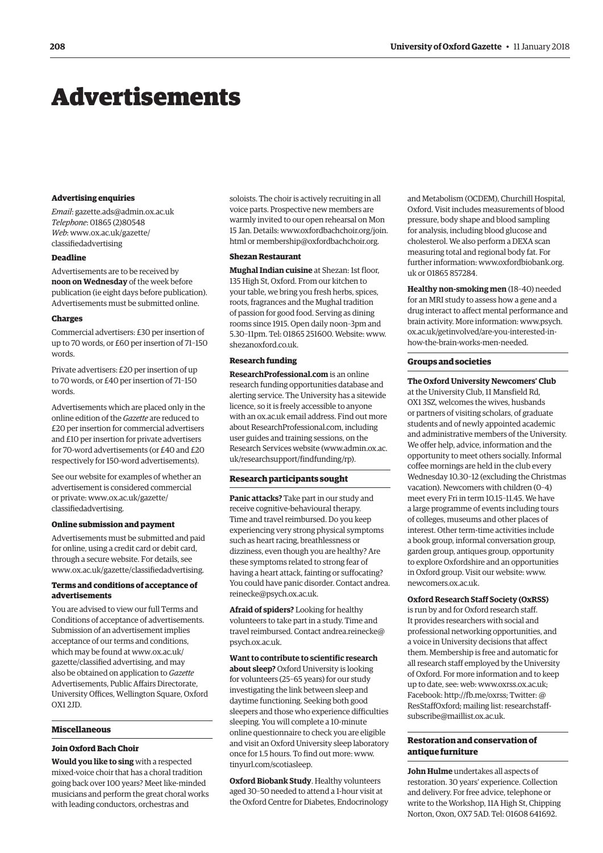# <span id="page-13-0"></span>Advertisements

#### **Advertising enquiries**

*Email*: [gazette.ads@admin.ox.ac.uk](mailto:gazette.ads@admin.ox.ac.uk)  *Telephone*: 01865 (2)80548 *Web*[: www.ox.ac.uk/gazette/](www.ox.ac.uk/gazette/classifiedadvertising) classifiedadvertising

#### **Deadline**

Advertisements are to be received by **noon on Wednesday** of the week before publication (ie eight days before publication). Advertisements must be submitted online.

#### **Charges**

Commercial advertisers: £30 per insertion of up to 70 words, or £60 per insertion of 71–150 words.

Private advertisers: £20 per insertion of up to 70 words, or £40 per insertion of 71–150 words.

Advertisements which are placed only in the online edition of the *Gazette* are reduced to £20 per insertion for commercial advertisers and £10 per insertion for private advertisers for 70-word advertisements (or £40 and £20 respectively for 150-word advertisements).

See our website for examples of whether an advertisement is considered commercial [or private: www.ox.ac.uk/gazette/](www.ox.ac.uk/gazette/classifiedadvertising) classifiedadvertising.

#### **Online submission and payment**

Advertisements must be submitted and paid for online, using a credit card or debit card, through a secure website. For details, see [www.ox.ac.uk/gazette/classifiedadvertising.](http://www.ox.ac.uk/gazette/classifiedadvertising)

# **Terms and conditions of acceptance of advertisements**

You are advised to view our full Terms and Conditions of acceptance of advertisements. Submission of an advertisement implies acceptance of our terms and conditions, which may be found at www.ox.ac.uk/ [gazette/classified advertising, and may](www.ox.ac.uk/gazette/classifiedadvertising)  also be obtained on application to *Gazette* Advertisements, Public Affairs Directorate, University Offices, Wellington Square, Oxford OX1 2JD.

# **Miscellaneous**

# **Join Oxford Bach Choir**

**Would you like to sing** with a respected mixed-voice choir that has a choral tradition going back over 100 years? Meet like-minded musicians and perform the great choral works with leading conductors, orchestras and

soloists. The choir is actively recruiting in all voice parts. Prospective new members are warmly invited to our open rehearsal on Mon 15 Jan. Details: [www.oxfordbachchoir.org/join.](http://www.oxfordbachchoir.org/join) html or [membership@oxfordbachchoir.org.](mailto:membership@oxfordbachchoir.org)

#### **Shezan Restaurant**

**Mughal Indian cuisine** at Shezan: 1st floor, 135 High St, Oxford. From our kitchen to your table, we bring you fresh herbs, spices, roots, fragrances and the Mughal tradition of passion for good food. Serving as dining rooms since 1915. Open daily noon–3pm and 5.30–11pm. Tel: 01865 251600. Website: [www.](http://www.shezanoxford.co.uk) [shezanoxford.co.uk.](http://www.shezanoxford.co.uk)

# **Research funding**

**ResearchProfessional.com** is an online research funding opportunities database and alerting service. The University has a sitewide licence, so it is freely accessible to anyone with an ox.ac.uk email address. Find out more about ResearchProfessional.com, including user guides and training sessions, on the Research Services website ([www.admin.ox.ac.](http://www.admin.ox.ac.uk/researchsupport/findfunding/rp) [uk/researchsupport/findfunding/rp\).](http://www.admin.ox.ac.uk/researchsupport/findfunding/rp)

#### **Research participants sought**

**Panic attacks?** Take part in our study and receive cognitive-behavioural therapy. Time and travel reimbursed. Do you keep experiencing very strong physical symptoms such as heart racing, breathlessness or dizziness, even though you are healthy? Are these symptoms related to strong fear of having a heart attack, fainting or suffocating? [You could have panic disorder. Contact andrea.](mailto:andrea.reinecke@psych.ox.ac.uk) reinecke@psych.ox.ac.uk.

**Afraid of spiders?** Looking for healthy volunteers to take part in a study. Time and [travel reimbursed. Contact andrea.reinecke@](mailto:andrea.reinecke@psych.ox.ac.uk) psych.ox.ac.uk.

#### **Want to contribute to scientific research about sleep?** Oxford University is looking

for volunteers (25–65 years) for our study investigating the link between sleep and daytime functioning. Seeking both good sleepers and those who experience difficulties sleeping. You will complete a 10-minute online questionnaire to check you are eligible and visit an Oxford University sleep laboratory once for 1.5 hours. To find out more: [www.](http://www.tinyurl.com/scotiasleep) [tinyurl.com/scotiasleep.](http://www.tinyurl.com/scotiasleep)

**Oxford Biobank Study**. Healthy volunteers aged 30–50 needed to attend a 1-hour visit at the Oxford Centre for Diabetes, Endocrinology and Metabolism (OCDEM), Churchill Hospital, Oxford. Visit includes measurements of blood pressure, body shape and blood sampling for analysis, including blood glucose and cholesterol. We also perform a DEXA scan measuring total and regional body fat. For further information: [www.oxfordbiobank.org.](http://www.oxfordbiobank.org) uk or 01865 857284.

**Healthy non-smoking men** (18–40) needed for an MRI study to assess how a gene and a drug interact to affect mental performance and [brain activity. More information: www.psych.](www.psych.ox.ac.uk/getinvolved/are-you-interested-in-how-the-brain-works-men-needed) ox.ac.uk/getinvolved/are-you-interested-inhow-the-brain-works-men-needed.

#### **Groups and societies**

**The Oxford University Newcomers' Club** at the University Club, 11 Mansfield Rd, OX1 3SZ, welcomes the wives, husbands or partners of visiting scholars, of graduate students and of newly appointed academic and administrative members of the University. We offer help, advice, information and the opportunity to meet others socially. Informal coffee mornings are held in the club every Wednesday 10.30–12 (excluding the Christmas vacation). Newcomers with children (0–4) meet every Fri in term 10.15–11.45. We have a large programme of events including tours of colleges, museums and other places of interest. Other term-time activities include a book group, informal conversation group, garden group, antiques group, opportunity to explore Oxfordshire and an opportunities in Oxford group. Visit our website: [www.](http://www.newcomers.ox.ac.uk) [newcomers.ox.ac.uk.](http://www.newcomers.ox.ac.uk)

#### **Oxford Research Staff Society (OxRSS)**

is run by and for Oxford research staff. It provides researchers with social and professional networking opportunities, and a voice in University decisions that affect them. Membership is free and automatic for all research staff employed by the University of Oxford. For more information and to keep up to date, see: w[eb: www.oxrss.ox.ac.uk;](www.oxrss.ox.ac.uk)  Faceb[ook: http://fb.me/oxrss;](http://fb.me/oxrss) Twitter: @ [ResStaffOxford; mailing list: researchstaff](mailto:researchstaff-subscribe@maillist.ox.ac.uk)subscribe@maillist.ox.ac.uk.

# **Restoration and conservation of antique furniture**

**John Hulme** undertakes all aspects of restoration. 30 years' experience. Collection and delivery. For free advice, telephone or write to the Workshop, 11A High St, Chipping Norton, Oxon, OX7 5AD. Tel: 01608 641692.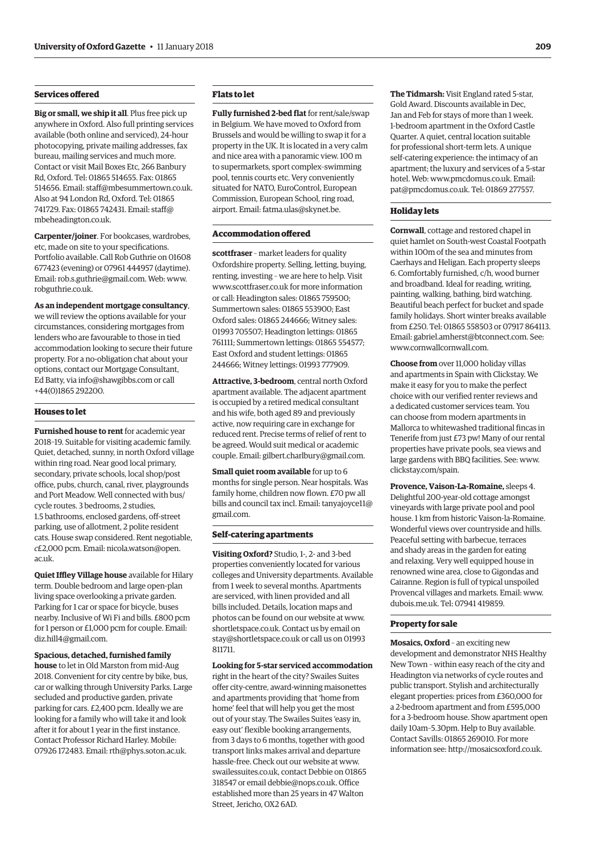# **Services offered**

**Big or small, we ship it all**. Plus free pick up anywhere in Oxford. Also full printing services available (both online and serviced), 24-hour photocopying, private mailing addresses, fax bureau, mailing services and much more. Contact or visit Mail Boxes Etc, 266 Banbury Rd, Oxford. Tel: 01865 514655. Fax: 01865 514656. Email: [staff@mbesummertown.co.uk.](mailto:staff@mbesummertown.co.uk)  Also at 94 London Rd, Oxford. Tel: 01865 [741729. Fax: 01865 742431. Email: staff@](mailto:staff@mbeheadington.co.uk) mbeheadington.co.uk.

**Carpenter/joiner**. For bookcases, wardrobes, etc, made on site to your specifications. Portfolio available. Call Rob Guthrie on 01608 677423 (evening) or 07961 444957 (daytime). Email: [rob.s.guthrie@gmail.com. W](mailto:rob.s.guthrie@gmail.com)eb: [www.](http://www.robguthrie.co.uk) [robguthrie.co.uk.](http://www.robguthrie.co.uk)

**As an independent mortgage consultancy**, we will review the options available for your circumstances, considering mortgages from lenders who are favourable to those in tied accommodation looking to secure their future property. For a no-obligation chat about your options, contact our Mortgage Consultant, Ed Batty, via [info@shawgibbs.com or](mailto:info@shawgibbs.com) call +44(0)1865 292200.

#### **Houses to let**

**Furnished house to rent** for academic year 2018–19. Suitable for visiting academic family. Quiet, detached, sunny, in north Oxford village within ring road. Near good local primary, secondary, private schools, local shop/post office, pubs, church, canal, river, playgrounds and Port Meadow. Well connected with bus/ cycle routes. 3 bedrooms, 2 studies, 1.5 bathrooms, enclosed gardens, off-street parking, use of allotment, 2 polite resident cats. House swap considered. Rent negotiable, *c*[£2,000 pcm. Email: nicola.watson@open.](mailto:nicola.watson@open.ac.uk) ac.uk.

**Quiet Iffley Village house** available for Hilary term. Double bedroom and large open-plan living space overlooking a private garden. Parking for 1 car or space for bicycle, buses nearby. Inclusive of Wi Fi and bills. £800 pcm for 1 person or £1,000 pcm for couple. Email: [diz.hill4@gmail.com.](mailto:diz.hill4@gmail.com)

**Spacious, detached, furnished family house** to let in Old Marston from mid-Aug 2018. Convenient for city centre by bike, bus, car or walking through University Parks. Large secluded and productive garden, private parking for cars. £2,400 pcm. Ideally we are looking for a family who will take it and look after it for about 1 year in the first instance. Contact Professor Richard Harley. Mobile: 07926 172483. Email: [rth@phys.soton.ac.uk.](mailto:rth@phys.soton.ac.uk)

# **Flats to let**

**Fully furnished 2-bed flat** for rent/sale/swap in Belgium. We have moved to Oxford from Brussels and would be willing to swap it for a property in the UK. It is located in a very calm and nice area with a panoramic view. 100 m to supermarkets, sport complex–swimming pool, tennis courts etc. Very conveniently situated for NATO, EuroControl, European Commission, European School, ring road, airport. Email: [fatma.ulas@skynet.be.](mailto:fatma.ulas@skynet.be)

# **Accommodation offered**

**scottfraser** – market leaders for quality Oxfordshire property. Selling, letting, buying, renting, investing – we are here to help. Visit [www.scottfraser.co.uk fo](http://www.scottfraser.co.uk)r more information or call: Headington sales: 01865 759500; Summertown sales: 01865 553900; East Oxford sales: 01865 244666; Witney sales: 01993 705507; Headington lettings: 01865 761111; Summertown lettings: 01865 554577; East Oxford and student lettings: 01865 244666; Witney lettings: 01993 777909.

**Attractive, 3-bedroom**, central north Oxford apartment available. The adjacent apartment is occupied by a retired medical consultant and his wife, both aged 89 and previously active, now requiring care in exchange for reduced rent. Precise terms of relief of rent to be agreed. Would suit medical or academic couple. Email: [gilbert.charlbury@gmail.com.](mailto:gilbert.charlbury@gmail.com)

**Small quiet room available** for up to 6 months for single person. Near hospitals. Was family home, children now flown. £70 pw all [bills and council tax incl. Email: tanyajoyce11@](mailto:tanyajoycell@gmail.com) gmail.com.

#### **Self-catering apartments**

**Visiting Oxford?** Studio, 1-, 2- and 3-bed properties conveniently located for various colleges and University departments. Available from 1 week to several months. Apartments are serviced, with linen provided and all bills included. Details, location maps and photos can be found on our website at [www.](http://www.shortletspace.co.uk) [shortletspace.co.uk. Co](http://www.shortletspace.co.uk)ntact us by email on [stay@shortletspace.co.uk or](mailto:stay@shortletspace.co.uk) call us on 01993 811711.

**Looking for 5-star serviced accommodation** right in the heart of the city? Swailes Suites offer city-centre, award-winning maisonettes and apartments providing that 'home from home' feel that will help you get the most out of your stay. The Swailes Suites 'easy in, easy out' flexible booking arrangements, from 3 days to 6 months, together with good transport links makes arrival and departure hassle-free. Check out our website at [www.](http://www.swailessuites.co.uk) [swailessuites.co.uk, co](http://www.swailessuites.co.uk)ntact Debbie on 01865 318547 or email [debbie@nops.co.uk. Of](mailto:debbie@nops.co.uk)fice established more than 25 years in 47 Walton Street, Jericho, OX2 6AD.

**The Tidmarsh:** Visit England rated 5-star, Gold Award. Discounts available in Dec, Jan and Feb for stays of more than 1 week. 1-bedroom apartment in the Oxford Castle Quarter. A quiet, central location suitable for professional short-term lets. A unique self-catering experience: the intimacy of an apartment; the luxury and services of a 5-star hotel. Web: [www.pmcdomus.co.uk. Em](http://www.pmcdomus.co.uk)ail: [pat@pmcdomus.co.uk. Te](mailto:pat@pmcdomus.co.uk)l: 01869 277557.

#### **Holiday lets**

**Cornwall**, cottage and restored chapel in quiet hamlet on South-west Coastal Footpath within 100m of the sea and minutes from Caerhays and Heligan. Each property sleeps 6. Comfortably furnished, c/h, wood burner and broadband. Ideal for reading, writing, painting, walking, bathing, bird watching. Beautiful beach perfect for bucket and spade family holidays. Short winter breaks available from £250. Tel: 01865 558503 or 07917 864113. Email: [gabriel.amherst@btconnect.com. Se](mailto:gabriel.amherst@btconnect.com)e: [www.cornwallcornwall.com.](http://www.cornwallcornwall.com)

**Choose from** over 11,000 holiday villas and apartments in Spain with Clickstay. We make it easy for you to make the perfect choice with our verified renter reviews and a dedicated customer services team. You can choose from modern apartments in Mallorca to whitewashed traditional fincas in Tenerife from just £73 pw! Many of our rental properties have private pools, sea views and large gardens with BBQ facilities. See: [www.](http://www.clickstay.com/spain) [clickstay.com/spain.](http://www.clickstay.com/spain)

**Provence, Vaison-La-Romaine,** sleeps 4. Delightful 200-year-old cottage amongst vineyards with large private pool and pool house. 1 km from historic Vaison-la-Romaine. Wonderful views over countryside and hills. Peaceful setting with barbecue, terraces and shady areas in the garden for eating and relaxing. Very well equipped house in renowned wine area, close to Gigondas and Cairanne. Region is full of typical unspoiled Provencal villages and markets. Email: [www.](http://www.dubois.me.uk) [dubois.me.uk. Te](http://www.dubois.me.uk)l: 07941 419859.

#### **Property for sale**

**Mosaics, Oxford** – an exciting new development and demonstrator NHS Healthy New Town – within easy reach of the city and Headington via networks of cycle routes and public transport. Stylish and architecturally elegant properties: prices from £360,000 for a 2-bedroom apartment and from £595,000 for a 3-bedroom house. Show apartment open daily 10am–5.30pm. Help to Buy available. Contact Savills: 01865 269010. For more information see: [http://mosaicsoxford.co.uk.](http://mosaicsoxford.co.uk)